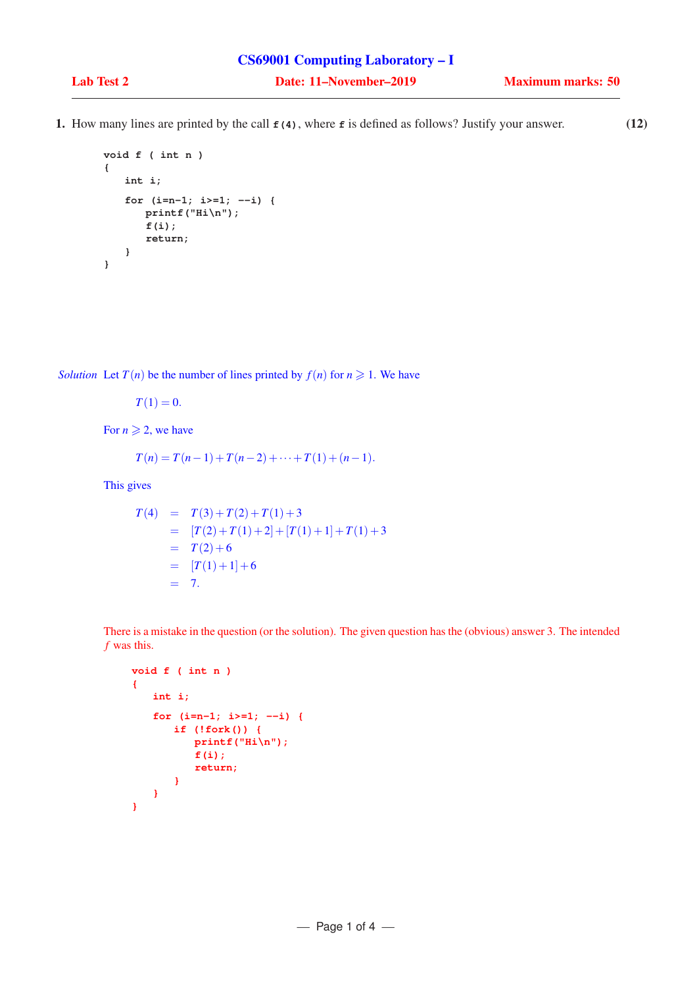1. How many lines are printed by the call **f(4)**, where **f** is defined as follows? Justify your answer. (12)

```
void f ( int n )
{
   int i;
   for (i=n-1; i>=1; --i) {
      printf("Hi\n");
      f(i);
      return;
   }
}
```
*Solution* Let  $T(n)$  be the number of lines printed by  $f(n)$  for  $n \ge 1$ . We have

 $T(1) = 0.$ 

For  $n \geqslant 2$ , we have

$$
T(n) = T(n-1) + T(n-2) + \cdots + T(1) + (n-1).
$$

This gives

$$
T(4) = T(3) + T(2) + T(1) + 3
$$
  
= [T(2) + T(1) + 2] + [T(1) + 1] + T(1) + 3  
= T(2) + 6  
= [T(1) + 1] + 6  
= 7.

There is a mistake in the question (or the solution). The given question has the (obvious) answer 3. The intended *f* was this.

```
void f ( int n )
{
   int i;
   for (i=n-1; i>=1; --i) {
       if (!fork()) {
          printf("Hi\n");
          f(i);
          return;
       }
   }
}
```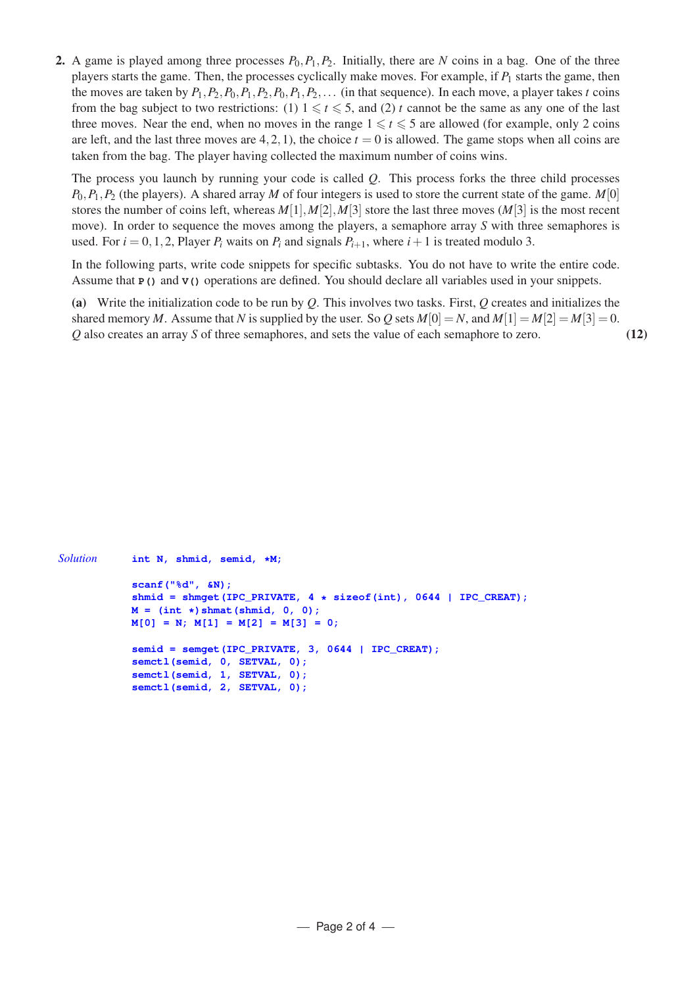2. A game is played among three processes  $P_0$ ,  $P_1$ ,  $P_2$ . Initially, there are *N* coins in a bag. One of the three players starts the game. Then, the processes cyclically make moves. For example, if  $P_1$  starts the game, then the moves are taken by  $P_1$ ,  $P_2$ ,  $P_0$ ,  $P_1$ ,  $P_2$ ,  $P_0$ ,  $P_1$ ,  $P_2$ ,... (in that sequence). In each move, a player takes *t* coins from the bag subject to two restrictions: (1)  $1 \le t \le 5$ , and (2) *t* cannot be the same as any one of the last three moves. Near the end, when no moves in the range  $1 \le t \le 5$  are allowed (for example, only 2 coins are left, and the last three moves are  $4,2,1$ ), the choice  $t = 0$  is allowed. The game stops when all coins are taken from the bag. The player having collected the maximum number of coins wins.

The process you launch by running your code is called *Q*. This process forks the three child processes  $P_0, P_1, P_2$  (the players). A shared array *M* of four integers is used to store the current state of the game. *M*[0] stores the number of coins left, whereas  $M[1], M[2], M[3]$  store the last three moves  $(M[3])$  is the most recent move). In order to sequence the moves among the players, a semaphore array *S* with three semaphores is used. For  $i = 0, 1, 2$ , Player  $P_i$  waits on  $P_i$  and signals  $P_{i+1}$ , where  $i+1$  is treated modulo 3.

In the following parts, write code snippets for specific subtasks. You do not have to write the entire code. Assume that **P()** and **V()** operations are defined. You should declare all variables used in your snippets.

(a) Write the initialization code to be run by *Q*. This involves two tasks. First, *Q* creates and initializes the shared memory *M*. Assume that *N* is supplied by the user. So *Q* sets  $M[0] = N$ , and  $M[1] = M[2] = M[3] = 0$ . *Q* also creates an array *S* of three semaphores, and sets the value of each semaphore to zero. (12)

```
Solution int N, shmid, semid, *M;
           scanf("%d", &N);
           shmid = shmget(IPC_PRIVATE, 4 * sizeof(int), 0644 | IPC_CREAT);
           M = (int *)shmat(shmid, 0, 0);
           M[0] = N; M[1] = M[2] = M[3] = 0;
           semid = semqet(IPC_PRIVATE, 3, 0644 | IPC_CREAT);
           semctl(semid, 0, SETVAL, 0);
           semctl(semid, 1, SETVAL, 0);
           semctl(semid, 2, SETVAL, 0);
```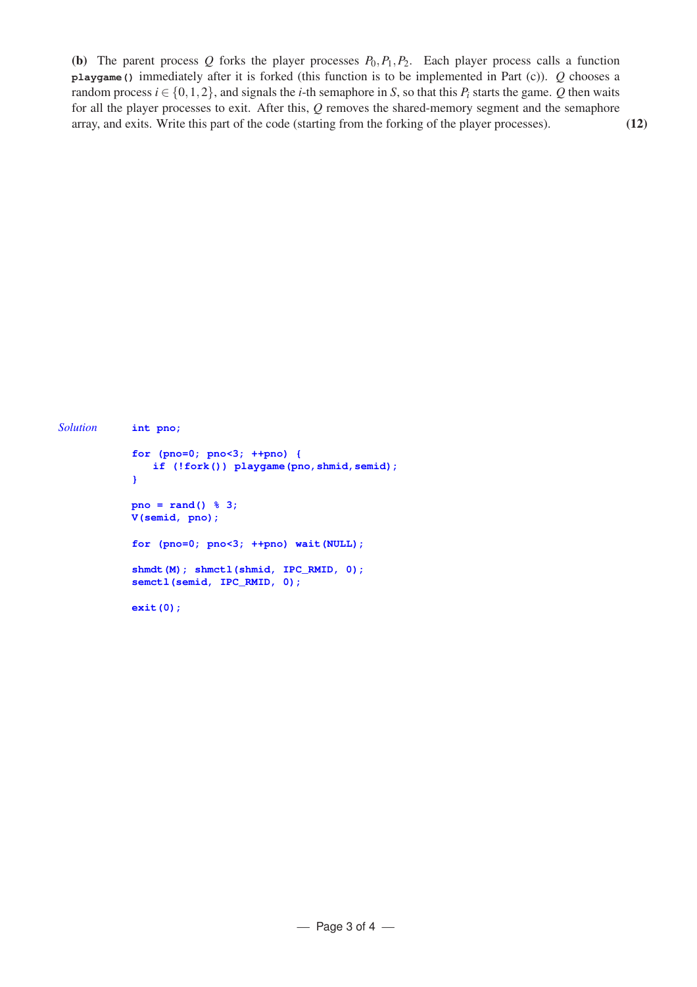(b) The parent process  $Q$  forks the player processes  $P_0, P_1, P_2$ . Each player process calls a function **playgame()** immediately after it is forked (this function is to be implemented in Part (c)). *Q* chooses a random process  $i \in \{0, 1, 2\}$ , and signals the *i*-th semaphore in *S*, so that this  $P_i$  starts the game. *Q* then waits for all the player processes to exit. After this, *Q* removes the shared-memory segment and the semaphore array, and exits. Write this part of the code (starting from the forking of the player processes). (12)

```
Solution int pno;
           for (pno=0; pno<3; ++pno) {
               if (!fork()) playgame(pno,shmid,semid);
            }
           pno = rand() % 3;
           V(semid, pno);
           for (pno=0; pno<3; ++pno) wait(NULL);
           shmdt(M); shmctl(shmid, IPC_RMID, 0);
           semctl(semid, IPC_RMID, 0);
           exit(0);
```